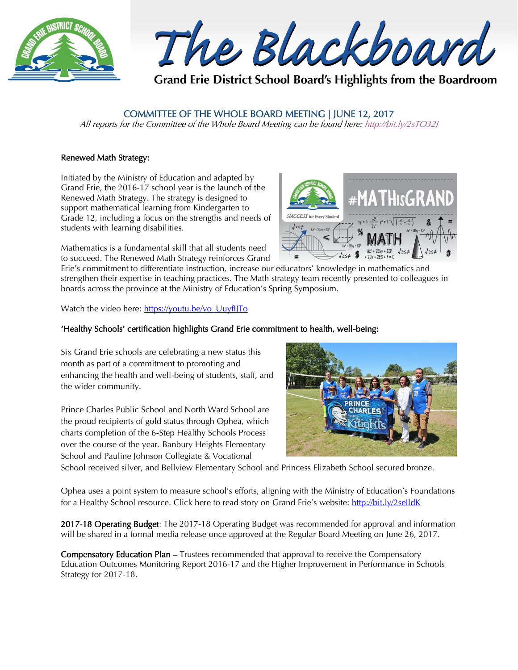

The Blackboard

Grand Erie District School Board's Highlights from the Boardroom

## COMMITTEE OF THE WHOLE BOARD MEETING | JUNE 12, 2017

All reports for the Committee of the Whole Board Meeting can be found here: http://bit.ly/2sTO321

### Renewed Math Strategy:

Initiated by the Ministry of Education and adapted by Grand Erie, the 2016-17 school year is the launch of the Renewed Math Strategy. The strategy is designed to support mathematical learning from Kindergarten to Grade 12, including a focus on the strengths and needs of students with learning disabilities.

Mathematics is a fundamental skill that all students need to succeed. The Renewed Math Strategy reinforces Grand **SUCCESS** for Every Student  $\mathbb{A}x^2 + 2\mathbb{R}x + \mathbb{C}2^2$ 

Erie's commitment to differentiate instruction, increase our educators' knowledge in mathematics and strengthen their expertise in teaching practices. The Math strategy team recently presented to colleagues in boards across the province at the Ministry of Education's Spring Symposium.

Watch the video here: [https://youtu.be/vo\\_UuyfIJTo](https://youtu.be/vo_UuyfIJTo)

### 'Healthy Schools' certification highlights Grand Erie commitment to health, well-being:

Six Grand Erie schools are celebrating a new status this month as part of a commitment to promoting and enhancing the health and well-being of students, staff, and the wider community.

Prince Charles Public School and North Ward School are the proud recipients of gold status through Ophea, which charts completion of the 6-Step Healthy Schools Process over the course of the year. Banbury Heights Elementary School and Pauline Johnson Collegiate & Vocational



School received silver, and Bellview Elementary School and Princess Elizabeth School secured bronze.

Ophea uses a point system to measure school's efforts, aligning with the Ministry of Education's Foundations for a Healthy School resource. Click here to read story on Grand Erie's website: http://bit.ly/2selldK

2017-18 Operating Budget: The 2017-18 Operating Budget was recommended for approval and information will be shared in a formal media release once approved at the Regular Board Meeting on June 26, 2017.

Compensatory Education Plan – Trustees recommended that approval to receive the Compensatory Education Outcomes Monitoring Report 2016-17 and the Higher Improvement in Performance in Schools Strategy for 2017-18.